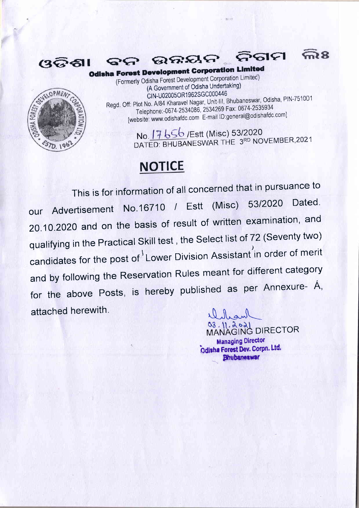

**SCYELOPMEN** 

 $57D.196$ 

**Odisha Forest Development Corporation Limited** (Formerly Odisha Forest Development Corporation Limited) (A Government of Odisha Undertaking) CIN-U02005OR1962SGC000446 Regd. Off: Plot No. A/84 Kharavel Nagar, Unit-III, Bhubaneswar, Odisha, PIN-751001 Telephone: -0674-2534086, 2534269 Fax: 0674-2535934 [website: www.odishafdc.com E-mail ID:general@odishafdc.com]

ଉନ୍ନୟନ

No. 17 656 / Estt (Misc) 53/2020 DATED: BHUBANESWAR THE 3RD NOVEMBER, 2021

ନିଗମ

 $\widehat{\mathbf{Z}}$ 

## **NOTICE**

This is for information of all concerned that in pursuance to Dated. 53/2020 our Advertisement No.16710 / Estt (Misc) 20.10.2020 and on the basis of result of written examination, and qualifying in the Practical Skill test, the Select list of 72 (Seventy two) candidates for the post of Lower Division Assistant in order of merit and by following the Reservation Rules meant for different category for the above Posts, is hereby published as per Annexure- A, attached herewith.

 $03.11.2021$ **MANAGING DIRECTOR Managing Director** Odisha Forest Dev. Corpn. Ltd. Bhubaneswar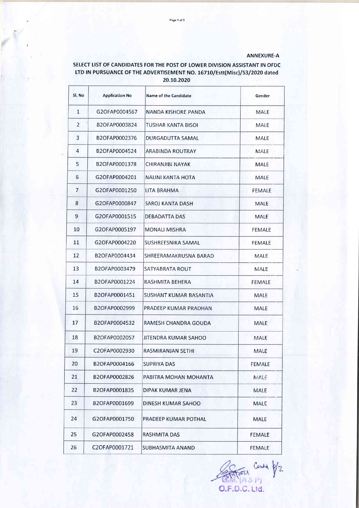## ANNEXURE-A

## SELECT LIST OF CANDIDATES FOR THE POST OF LOWER DIVISION ASSISTANT IN OFDC LTD IN PURSUANCE OF THE ADVERTISEMENT NO. 16710/Estt(Misc)/53/2020 dated 20.10.2020

| Sl. No         | <b>Application No</b> | Name of the Candidate  | Gender        |
|----------------|-----------------------|------------------------|---------------|
| $\mathbf{1}$   | G2OFAP0004567         | NANDA KISHORE PANDA    | MALE          |
| $\overline{2}$ | B2OFAP0003824         | TUSHAR KANTA BISOI     | MALE          |
| 3              | B2OFAP0002376         | DURGADUTTA SAMAL       | MALE          |
| 4              | B2OFAP0004524         | ARABINDA ROUTRAY       | MALE          |
| 5              | B2OFAP0001378         | CHIRANJIBI NAYAK       | <b>MALE</b>   |
| 6              | G2OFAP0004201         | NALINI KANTA HOTA      | MALE          |
| 7              | G2OFAP0001250         | LITA BRAHMA            | FEMALE        |
| 8              | G2OFAP0000847         | SAROJ KANTA DASH       | MALE          |
| 9              | G2OFAP0001515         | DEBADATTA DAS          | MALE          |
| 10             | G2OFAP0005197         | MONALI MISHRA          | FEMALE        |
| 11             | G2OFAP0004220         | SUSHREESNIKA SAMAL     | FEMALE        |
| 12             | B2OFAP0004434         | SHREERAMAKRUSNA BARAD  | MALE          |
| 13             | B2OFAP0003479         | SATYABRATA ROUT        | MALE          |
| 14             | B2OFAP0001224         | RASHMITA BEHERA        | FEMALE        |
| 15             | B2OFAP0001451         | SUSHANT KUMAR BASANTIA | MALE          |
| 16             | B2OFAP0002999         | PRADEEP KUMAR PRADHAN  | MALE          |
| 17             | B2OFAP0004532         | RAMESH CHANDRA GOUDA   | MALE          |
| 18             | B2OFAP0002057         | JITENDRA KUMAR SAHOO   | MALE          |
| 19             | C2OFAP0002930         | RASMIRANJAN SETHI      | MALE          |
| 20             | B2OFAP0004166         | SUPRIYA DAS            | <b>FEMALE</b> |
| 21             | B2OFAP0002826         | PABITRA MOHAN MOHANTA  | MALE          |
| 22             | B2OFAP0001835         | DIPAK KUMAR JENA       | MALE          |
| 23             | B2OFAP0001699         | DINESH KUMAR SAHOO     | MALE          |
| 24             | G2OFAP0001750         | PRADEEP KUMAR POTHAL   | MALE          |
| 25             | G2OFAP0002458         | RASHMITA DAS           | <b>FEMALE</b> |
| 26             | C2OFAP0001721         | SUBHASMITA ANAND       | FEMALE        |

Contra Contra 0/2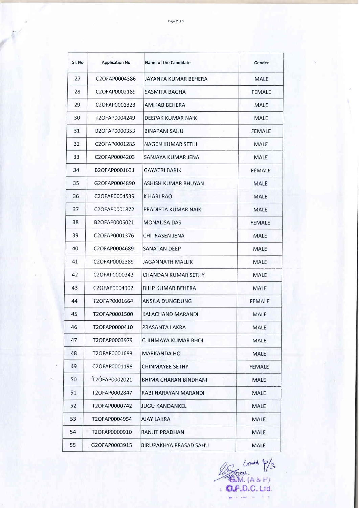Page 2 of 3

| Sl. No | <b>Application No</b> | Name of the Candidate  | Gender        |
|--------|-----------------------|------------------------|---------------|
| 27     | C2OFAP0004386         | JAYANTA KUMAR BEHERA   | MALE          |
| 28     | C2OFAP0002189         | SASMITA BAGHA          | <b>FEMALE</b> |
| 29     | C2OFAP0001323         | AMITAB BEHERA          | MALE          |
| 30     | T2OFAP0004249         | DEEPAK KUMAR NAIK      | MALE          |
| 31     | B2OFAP0000353         | BINAPANI SAHU          | FEMALE        |
| 32     | C2OFAP0001285         | NAGEN KUMAR SETHI      | MALE          |
| 33     | C2OFAP0004203         | SANJAYA KUMAR JENA     | MALE          |
| 34     | B2OFAP0001631         | GAYATRI BARIK          | FEMALE        |
| 35     | G2OFAP0004890         | ASHISH KUMAR BHUYAN    | MALE          |
| 36     | C2OFAP0004539         | <b>K HARI RAO</b>      | MALE          |
| 37     | C2OFAP0001872         | PRADIPTA KUMAR NAIK    | MALE          |
| 38     | B2OFAP0005021         | MONALISA DAS           | FEMALE        |
| 39     | C2OFAP0001376         | CHITRASEN JENA         | MALE          |
| 40     | C2OFAP0004689         | SANATAN DEEP           | MALE          |
| 41     | C2OFAP0002389         | JAGANNATH MALLIK       | MALE          |
| 42     | C2OFAP0000343         | CHANDAN KUMAR SETHY    | MALE          |
| 43     | C2OEAP0004902         | DILIP KUMAR BEHERA     | <b>MAIF</b>   |
| 44     | T2OFAP0001664         | ANSILA DUNGDUNG        | FEMALE        |
| 45     | T2OFAP0001500         | KALACHAND MARANDI      | <b>MALE</b>   |
| 46     | T2OFAP0000410         | PRASANTA LAKRA         | <b>MALE</b>   |
| 47     | T2OFAP0003979         | CHINMAYA KUMAR BHOL    | <b>MALE</b>   |
| 48     | T2OFAP0001683         | MARKANDA HO            | <b>MALE</b>   |
| 49     | C2OFAP0001198         | CHINMAYEE SETHY        | <b>FEMALE</b> |
| 50     | T2ÓFAP0002021         | BHIMA CHARAN BINDHANI  | <b>MALE</b>   |
| 51     | T2OFAP0002847         | RABI NARAYAN MARANDI   | <b>MALE</b>   |
| 52     | T2OFAP0000742         | <b>JUGU KANDANKEL</b>  | <b>MALE</b>   |
| 53     | T2OFAP0004954         | AJAY LAKRA             | <b>MALE</b>   |
| 54     | T2OFAP0000910         | RANJIT PRADHAN         | <b>MALE</b>   |
| 55     | G2OFAP0003915         | BIRUPAKHYA PRASAD SAHU | <b>MALE</b>   |

Contrat P/3 J.  $\sim$   $\sim$ U.